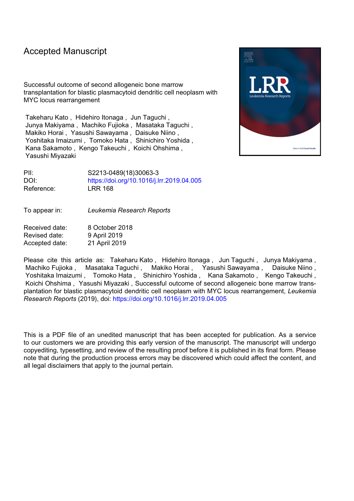## Accepted Manuscript

Successful outcome of second allogeneic bone marrow transplantation for blastic plasmacytoid dendritic cell neoplasm with MYC locus rearrangement

Takeharu Kato , Hidehiro Itonaga , Jun Taguchi , Junya Makiyama , Machiko Fujioka , Masataka Taguchi , Makiko Horai , Yasushi Sawayama , Daisuke Niino , Yoshitaka Imaizumi , Tomoko Hata , Shinichiro Yoshida , Kana Sakamoto , Kengo Takeuchi , Koichi Ohshima , Yasushi Miyazaki



PII: S2213-0489(18)30063-3 DOI: <https://doi.org/10.1016/j.lrr.2019.04.005> Reference: LRR 168

To appear in: *Leukemia Research Reports*

Received date: 8 October 2018 Revised date: 9 April 2019 Accepted date: 21 April 2019

Please cite this article as: Takeharu Kato , Hidehiro Itonaga , Jun Taguchi , Junya Makiyama , Machiko Fujioka , Masataka Taguchi , Makiko Horai , Yasushi Sawayama , Daisuke Niino , Yoshitaka Imaizumi , Tomoko Hata , Shinichiro Yoshida , Kana Sakamoto , Kengo Takeuchi , Koichi Ohshima , Yasushi Miyazaki , Successful outcome of second allogeneic bone marrow transplantation for blastic plasmacytoid dendritic cell neoplasm with MYC locus rearrangement, *Leukemia Research Reports* (2019), doi: <https://doi.org/10.1016/j.lrr.2019.04.005>

This is a PDF file of an unedited manuscript that has been accepted for publication. As a service to our customers we are providing this early version of the manuscript. The manuscript will undergo copyediting, typesetting, and review of the resulting proof before it is published in its final form. Please note that during the production process errors may be discovered which could affect the content, and all legal disclaimers that apply to the journal pertain.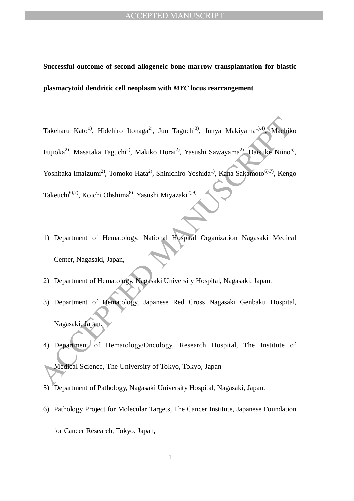# **Successful outcome of second allogeneic bone marrow transplantation for blastic plasmacytoid dendritic cell neoplasm with** *MYC* **locus rearrangement**

Takcharu Kato<sup>1)</sup>, Hidehiro Itonaga<sup>2)</sup>, Jun Taguchi<sup>3)</sup>, Junya Makiyama<sup>1), 4</sup> Maehik<br>
Fujioka<sup>2</sup>, Masataka Taguchi<sup>2)</sup>, Makiko Horai<sup>2</sup>, Yasushi Sawayama<sup>2)</sup>, Daisuke Niino<sup>5</sup><br>
Yoshitaka Imaizumi<sup>2)</sup>, Tomoko Hata<sup>2</sup>, Sh Takeharu Kato<sup>1)</sup>, Hidehiro Itonaga<sup>2)</sup>, Jun Taguchi<sup>3)</sup>, Junya Makiyama<sup>1),4)</sup>, Machiko Fujioka<sup>2)</sup>, Masataka Taguchi<sup>2)</sup>, Makiko Horai<sup>2)</sup>, Yasushi Sawayama<sup>2)</sup>, Daisuke Niino<sup>5)</sup>, Yoshitaka Imaizumi<sup>2)</sup>, Tomoko Hata<sup>2)</sup>, Shinichiro Yoshida<sup>1)</sup>, Kana Sakamoto<sup>6),7)</sup>, Kengo Takeuchi<sup>6),7)</sup>, Koichi Ohshima<sup>8)</sup>, Yasushi Miyazaki<sup>2),9)</sup>

- 1) Department of Hematology, National Hospital Organization Nagasaki Medical Center, Nagasaki, Japan,
- 2) Department of Hematology, Nagasaki University Hospital, Nagasaki, Japan.
- 3) Department of Hematology, Japanese Red Cross Nagasaki Genbaku Hospital, Nagasaki, Japan.
- 4) Department of Hematology/Oncology, Research Hospital, The Institute of Medical Science, The University of Tokyo, Tokyo, Japan
- 5) Department of Pathology, Nagasaki University Hospital, Nagasaki, Japan.
- 6) Pathology Project for Molecular Targets, The Cancer Institute, Japanese Foundation for Cancer Research, Tokyo, Japan,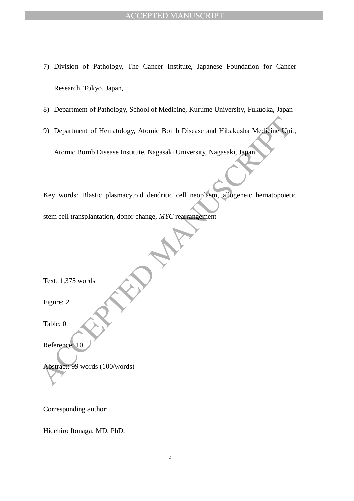- 7) Division of Pathology, The Cancer Institute, Japanese Foundation for Cancer Research, Tokyo, Japan,
- 8) Department of Pathology, School of Medicine, Kurume University, Fukuoka, Japan
- 9) Department of Hematology, Atomic Bomb Disease and Hibakusha Medicine Unit, Atomic Bomb Disease Institute, Nagasaki University, Nagasaki, Japan,

9) Department of Hernatology, Atomic Bomb Disease and Hibakusha Medicine Unit<br>Atomic Bomb Disease Institute, Nagasaki University, Nagasaki, Japan,<br>Key words: Blastic plasmacytoid dendritic cell neoplasm, allogeneic hernato Key words: Blastic plasmacytoid dendritic cell neoplasm, allogeneic hematopoietic stem cell transplantation, donor change, *MYC* rearrangement

Text: 1,375 words

Figure: 2

Table: 0

Reference: 10

Abstract: 99 words (100/words)

Corresponding author:

Hidehiro Itonaga, MD, PhD,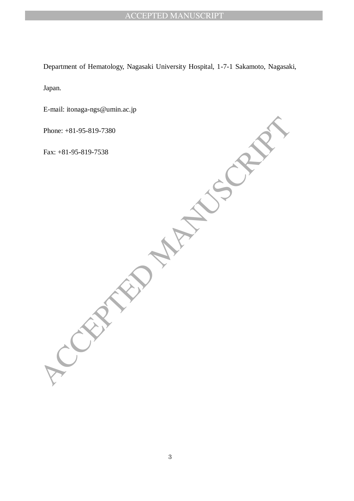Department of Hematology, Nagasaki University Hospital, 1-7-1 Sakamoto, Nagasaki,

Japan.

CEPTED MANUSCRIPT E-mail: itonaga-ngs@umin.ac.jp

Phone: +81-95-819-7380

Fax: +81-95-819-7538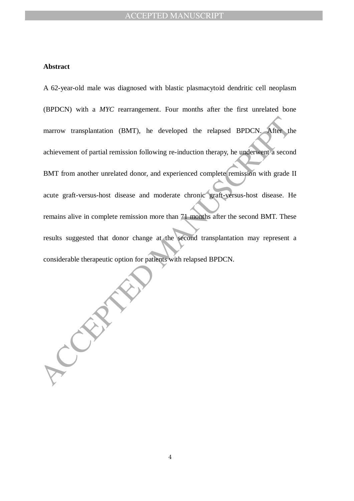#### **Abstract**

From the relation (BMT), he developed the relapsed BPDCN. After the vennent of partial remission following re-induction therapy, he underwent a second<br>
From another unrelated donor, and experienced complete remission with A 62-year-old male was diagnosed with blastic plasmacytoid dendritic cell neoplasm (BPDCN) with a *MYC* rearrangement. Four months after the first unrelated bone marrow transplantation (BMT), he developed the relapsed BPDCN. achievement of partial remission following re-induction therapy, he underwent a second BMT from another unrelated donor, and experienced complete remission with grade II acute graft-versus-host disease and moderate chronic graft-versus-host disease. He remains alive in complete remission more than 71 months after the second BMT. These results suggested that donor change at the second transplantation may represent a considerable therapeutic option for patients with relapsed BPDCN.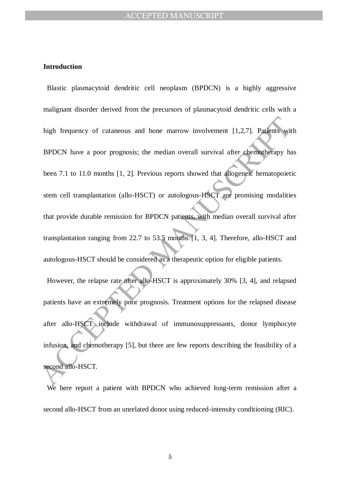#### **Introduction**

high frequency of cutaneous and bone marrow involvement [1,2,7]. Patients wit<br>
BPDCN have a poor prognosis; the median overall survival after chemotherapy ha<br>
been 7.1 to 11.0 months [1, 2]. Previous reports showed that al Blastic plasmacytoid dendritic cell neoplasm (BPDCN) is a highly aggressive malignant disorder derived from the precursors of plasmacytoid dendritic cells with a high frequency of cutaneous and bone marrow involvement [1,2,7]. Patients with BPDCN have a poor prognosis; the median overall survival after chemotherapy has been 7.1 to 11.0 months [1, 2]. Previous reports showed that allogeneic hematopoietic stem cell transplantation (allo-HSCT) or autologous-HSCT are promising modalities that provide durable remission for BPDCN patients, with median overall survival after transplantation ranging from 22.7 to 53.5 months [1, 3, 4]. Therefore, allo-HSCT and autologous-HSCT should be considered as a therapeutic option for eligible patients. However, the relapse rate after allo-HSCT is approximately 30% [3, 4], and relapsed

patients have an extremely poor prognosis. Treatment options for the relapsed disease after allo-HSCT include withdrawal of immunosuppressants, donor lymphocyte infusion, and chemotherapy [5], but there are few reports describing the feasibility of a second allo-HSCT.

We here report a patient with BPDCN who achieved long-term remission after a second allo-HSCT from an unrelated donor using reduced-intensity conditioning (RIC).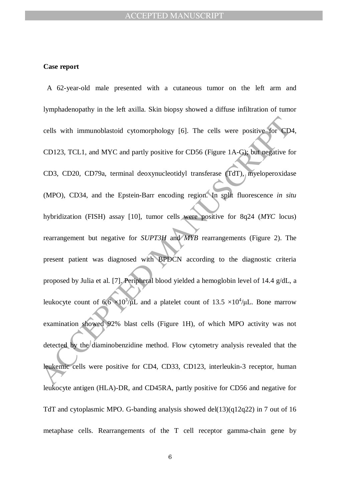#### **Case report**

cells with immunoblastoid cytomorphology [6]. The cells were positive for CD-<br>CD123, TCL1, and MYC and partly positive for CD56 (Figure 1A-G); but negative fc<br>CD3, CD20, CD79a, terminal deoxynucleotidyl transferase (TdT), A 62-year-old male presented with a cutaneous tumor on the left arm and lymphadenopathy in the left axilla. Skin biopsy showed a diffuse infiltration of tumor cells with immunoblastoid cytomorphology [6]. The cells were positive for CD4, CD123, TCL1, and MYC and partly positive for CD56 (Figure 1A-G); but negative for CD3, CD20, CD79a, terminal deoxynucleotidyl transferase (TdT), myeloperoxidase (MPO), CD34, and the Epstein-Barr encoding region. In split fluorescence *in situ* hybridization (FISH) assay [10], tumor cells were positive for 8q24 (*MYC* locus) rearrangement but negative for *SUPT3H* and *MYB* rearrangements (Figure 2). The present patient was diagnosed with BPDCN according to the diagnostic criteria proposed by Julia et al. [7]. Peripheral blood yielded a hemoglobin level of 14.4 g/dL, a leukocyte count of  $6.6 \times 10^3/\mu$ L and a platelet count of 13.5  $\times 10^4/\mu$ L. Bone marrow examination showed 92% blast cells (Figure 1H), of which MPO activity was not detected by the diaminobenzidine method. Flow cytometry analysis revealed that the leukemic cells were positive for CD4, CD33, CD123, interleukin-3 receptor, human leukocyte antigen (HLA)-DR, and CD45RA, partly positive for CD56 and negative for TdT and cytoplasmic MPO. G-banding analysis showed del(13)(q12q22) in 7 out of 16 metaphase cells. Rearrangements of the T cell receptor gamma-chain gene by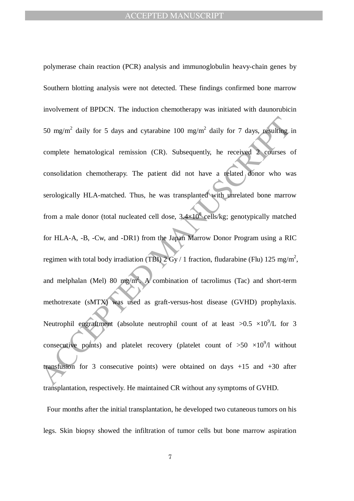50 mg/m<sup>2</sup> daily for 5 days and cytarabine 100 mg/m<sup>2</sup> daily for 7 days, resulting i<br>complete hematological remission (CR). Subsequently, he received 2 courses c<br>consolidation chemotherapy. The patient did not have a rela polymerase chain reaction (PCR) analysis and immunoglobulin heavy-chain genes by Southern blotting analysis were not detected. These findings confirmed bone marrow involvement of BPDCN. The induction chemotherapy was initiated with daunorubicin 50 mg/m<sup>2</sup> daily for 5 days and cytarabine 100 mg/m<sup>2</sup> daily for 7 days, resulting in complete hematological remission (CR). Subsequently, he received 2 courses of consolidation chemotherapy. The patient did not have a related donor who was serologically HLA-matched. Thus, he was transplanted with unrelated bone marrow from a male donor (total nucleated cell dose,  $3.4 \times 10^8$  cells/kg; genotypically matched for HLA-A, -B, -Cw, and -DR1) from the Japan Marrow Donor Program using a RIC regimen with total body irradiation (TBI)  $2 \text{ Gy} / 1$  fraction, fludarabine (Flu) 125 mg/m<sup>2</sup>, and melphalan (Mel) 80 mg/m<sup>2</sup>. A combination of tacrolimus (Tac) and short-term methotrexate (sMTX) was used as graft-versus-host disease (GVHD) prophylaxis. Neutrophil engraftment (absolute neutrophil count of at least  $>0.5 \times 10^9$ /L for 3 consecutive points) and platelet recovery (platelet count of  $>50 \times 10^9/1$  without transfusion for 3 consecutive points) were obtained on days  $+15$  and  $+30$  after transplantation, respectively. He maintained CR without any symptoms of GVHD.

Four months after the initial transplantation, he developed two cutaneous tumors on his legs. Skin biopsy showed the infiltration of tumor cells but bone marrow aspiration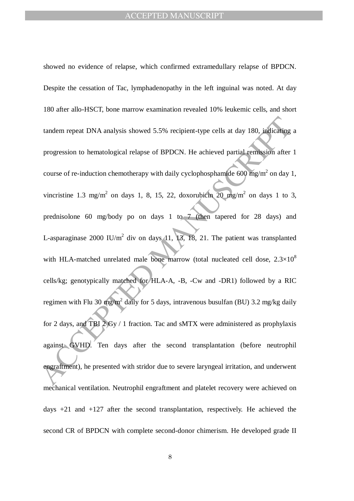tandem repeat DNA analysis showed 5.5% recipient-type cells at day 180, indicating<br>progression to hematological relapse of BPDCN. He achieved partial remussion after<br>course of re-induction chemotherapy with daily cyclopho showed no evidence of relapse, which confirmed extramedullary relapse of BPDCN. Despite the cessation of Tac, lymphadenopathy in the left inguinal was noted. At day 180 after allo-HSCT, bone marrow examination revealed 10% leukemic cells, and short tandem repeat DNA analysis showed 5.5% recipient-type cells at day 180, indicating a progression to hematological relapse of BPDCN. He achieved partial remission after 1 course of re-induction chemotherapy with daily cyclophosphamide 600 mg/m<sup>2</sup> on day 1, vincristine 1.3 mg/m<sup>2</sup> on days 1, 8, 15, 22, doxorubicin  $20 \text{ mg/m}^2$  on days 1 to 3, prednisolone 60 mg/body po on days 1 to 7 (then tapered for 28 days) and L-asparaginase 2000 IU/ $m^2$  div on days 11, 13, 18, 21. The patient was transplanted with HLA-matched unrelated male bone marrow (total nucleated cell dose,  $2.3 \times 10^8$ ) cells/kg; genotypically matched for HLA-A, -B, -Cw and -DR1) followed by a RIC regimen with Flu 30 mg/m<sup>2</sup> daily for 5 days, intravenous busulfan (BU) 3.2 mg/kg daily for 2 days, and TBI 2 Gy / 1 fraction. Tac and sMTX were administered as prophylaxis against GVHD. Ten days after the second transplantation (before neutrophil engraftment), he presented with stridor due to severe laryngeal irritation, and underwent mechanical ventilation. Neutrophil engraftment and platelet recovery were achieved on days +21 and +127 after the second transplantation, respectively. He achieved the second CR of BPDCN with complete second-donor chimerism. He developed grade II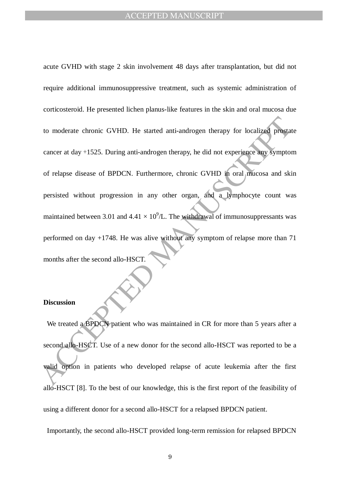to moderate chronic GVHD. He started anti-androgen therapy for localized prostate<br>cancer at day +1525. During anti-androgen therapy, he did not experience any symptom<br>of relapse disease of BPDCN. Furthermore, chronic GVHD acute GVHD with stage 2 skin involvement 48 days after transplantation, but did not require additional immunosuppressive treatment, such as systemic administration of corticosteroid. He presented lichen planus-like features in the skin and oral mucosa due to moderate chronic GVHD. He started anti-androgen therapy for localized prostate cancer at day +1525. During anti-androgen therapy, he did not experience any symptom of relapse disease of BPDCN. Furthermore, chronic GVHD in oral mucosa and skin persisted without progression in any other organ, and a lymphocyte count was maintained between 3.01 and  $4.41 \times 10^9$ /L. The withdrawal of immunosuppressants was performed on day +1748. He was alive without any symptom of relapse more than 71 months after the second allo-HSCT.

#### **Discussion**

We treated a BPDCN patient who was maintained in CR for more than 5 years after a second allo-HSCT. Use of a new donor for the second allo-HSCT was reported to be a valid option in patients who developed relapse of acute leukemia after the first allo-HSCT [8]. To the best of our knowledge, this is the first report of the feasibility of using a different donor for a second allo-HSCT for a relapsed BPDCN patient.

Importantly, the second allo-HSCT provided long-term remission for relapsed BPDCN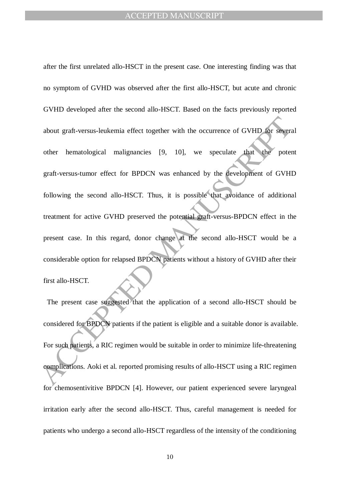about graft-versus-leukemia effect together with the occurrence of GVHD for seven<br>other hematological malignancies [9, 10], we speculate that the potential<br>graft-versus-tumor effect for BPDCN was enhanced by the developmen after the first unrelated allo-HSCT in the present case. One interesting finding was that no symptom of GVHD was observed after the first allo-HSCT, but acute and chronic GVHD developed after the second allo-HSCT. Based on the facts previously reported about graft-versus-leukemia effect together with the occurrence of GVHD for several other hematological malignancies [9, 10], we speculate that the potent graft-versus-tumor effect for BPDCN was enhanced by the development of GVHD following the second allo-HSCT. Thus, it is possible that avoidance of additional treatment for active GVHD preserved the potential graft-versus-BPDCN effect in the present case. In this regard, donor change at the second allo-HSCT would be a considerable option for relapsed BPDCN patients without a history of GVHD after their first allo-HSCT.

The present case suggested that the application of a second allo-HSCT should be considered for BPDCN patients if the patient is eligible and a suitable donor is available. For such patients, a RIC regimen would be suitable in order to minimize life-threatening complications. Aoki et al. reported promising results of allo-HSCT using a RIC regimen for chemosentivitive BPDCN [4]. However, our patient experienced severe laryngeal irritation early after the second allo-HSCT. Thus, careful management is needed for patients who undergo a second allo-HSCT regardless of the intensity of the conditioning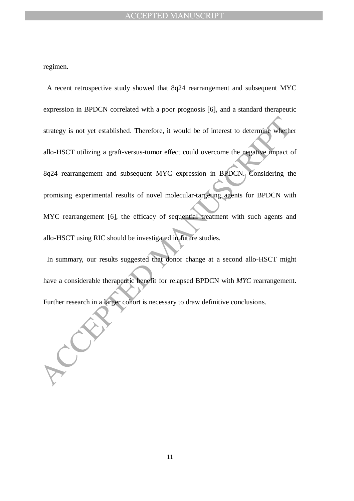regimen.

strategy is not yet established. Therefore, it would be of interest to determine whether<br>allo-HSCT utilizing a graft-versus-tumor effect could overcome the negative impact of<br>8q24 rearrangement and subsequent MYC expressio A recent retrospective study showed that 8q24 rearrangement and subsequent MYC expression in BPDCN correlated with a poor prognosis [6], and a standard therapeutic strategy is not yet established. Therefore, it would be of interest to determine whether allo-HSCT utilizing a graft-versus-tumor effect could overcome the negative impact of 8q24 rearrangement and subsequent MYC expression in BPDCN. Considering the promising experimental results of novel molecular-targeting agents for BPDCN with MYC rearrangement [6], the efficacy of sequential treatment with such agents and allo-HSCT using RIC should be investigated in future studies.

In summary, our results suggested that donor change at a second allo-HSCT might have a considerable therapeutic benefit for relapsed BPDCN with *MYC* rearrangement. Further research in a larger cohort is necessary to draw definitive conclusions.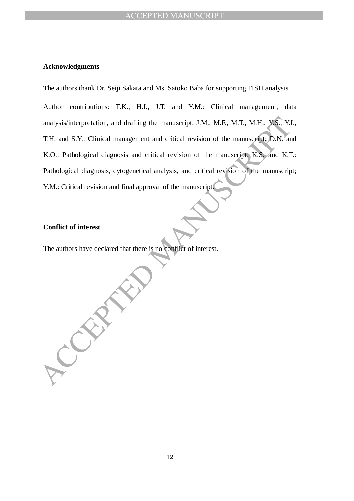#### **Acknowledgments**

The authors thank Dr. Seiji Sakata and Ms. Satoko Baba for supporting FISH analysis.

analysis/interpretation, and drafting the manuscript; J.M., M.F., M.T., M.H., Y.S., Y.I<br>T.H. and S.Y.: Clinical management and critical revision of the manuscript; D.N. an<br>K.O.: Pathological diagnosis, cytogenetical revisi Author contributions: T.K., H.I., J.T. and Y.M.: Clinical management, data analysis/interpretation, and drafting the manuscript; J.M., M.F., M.T., M.H., Y.S., Y.I., T.H. and S.Y.: Clinical management and critical revision of the manuscript; D.N. and K.O.: Pathological diagnosis and critical revision of the manuscript; K.S. and K.T.: Pathological diagnosis, cytogenetical analysis, and critical revision of the manuscript; Y.M.: Critical revision and final approval of the manuscript.

#### **Conflict of interest**

The authors have declared that there is no conflict of interest.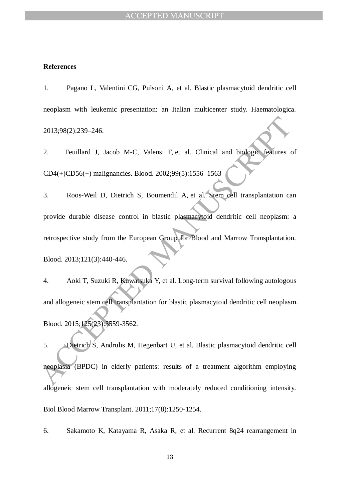#### **References**

1. Pagano L, Valentini CG, Pulsoni A, et al. Blastic plasmacytoid dendritic cell neoplasm with leukemic presentation: an Italian multicenter study. Haematologica. 2013;98(2):239–246.

2. Feuillard J, Jacob M-C, Valensi F, et al. Clinical and biologic features of CD4(+)CD56(+) malignancies. Blood. 2002;99(5):1556–1563

 $2013;98(2):239-246.$ <br>
2. Feuillard J, Jacob M-C, Valensi F, et al. Clinical and biologic features computer ( $2014$ ) ( $2015$ ) malignancies. Blood.  $2002;99(5):1556-1563$ <br>
3. Roos-Weil D, Dietrich S, Bournendil A, et al. Sig 3. Roos-Weil D, Dietrich S, Boumendil A, et al. Stem cell transplantation can provide durable disease control in blastic plasmacytoid dendritic cell neoplasm: a retrospective study from the European Group for Blood and Marrow Transplantation. Blood. 2013;121(3):440-446.

4. Aoki T, Suzuki R, Kuwatsuka Y, et al. Long-term survival following autologous and allogeneic stem cell transplantation for blastic plasmacytoid dendritic cell neoplasm. Blood. 2015;125(23):3559-3562.

5. Dietrich S, Andrulis M, Hegenbart U, et al. Blastic plasmacytoid dendritic cell neoplasia (BPDC) in elderly patients: results of a treatment algorithm employing allogeneic stem cell transplantation with moderately reduced conditioning intensity. Biol Blood Marrow Transplant. 2011;17(8):1250-1254.

6. Sakamoto K, Katayama R, Asaka R, et al. Recurrent 8q24 rearrangement in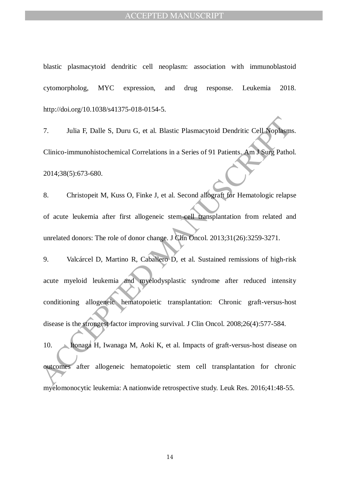blastic plasmacytoid dendritic cell neoplasm: association with immunoblastoid cytomorpholog, MYC expression, and drug response. Leukemia 2018. http://doi.org/10.1038/s41375-018-0154-5.

7. Julia F, Dalle S, Duru G, et al. Blastic Plasmacytoid Dendritic Cell Noplasms. Clinico-immunohistochemical Correlations in a Series of 91 Patients. Am J Surg Pathol. 2014;38(5):673-680.

8. Christopeit M, Kuss O, Finke J, et al. Second allograft for Hematologic relapse of acute leukemia after first allogeneic stem-cell transplantation from related and unrelated donors: The role of donor change. J Clin Oncol. 2013;31(26):3259-3271.

3. Julia F, Dalle S, Duru G, et al. Blastic Plasmacytoid Dendritic Cell Nophagne<br>
2014;38(5):673-680.<br>
8. Christopeit M, Kuss O, Finke J, et al. Second alfografi for Hematologic relays<br>
3. Christopeit M, Kuss O, Finke J, e 9. Valcárcel D, Martino R, Caballero D, et al. Sustained remissions of high-risk acute myeloid leukemia and myelodysplastic syndrome after reduced intensity conditioning allogeneic hematopoietic transplantation: Chronic graft-versus-host disease is the strongest factor improving survival. J Clin Oncol. 2008;26(4):577-584.

10. Itonaga H, Iwanaga M, Aoki K, et al. Impacts of graft-versus-host disease on outcomes after allogeneic hematopoietic stem cell transplantation for chronic myelomonocytic leukemia: A nationwide retrospective study. Leuk Res. 2016;41:48-55.

14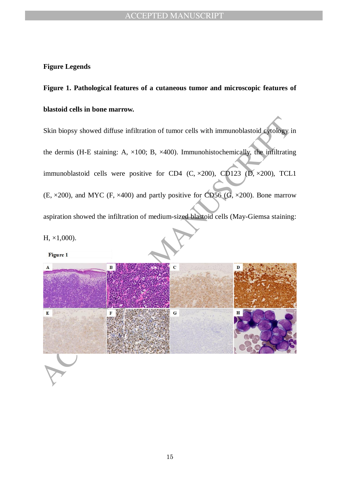#### **Figure Legends**

**Figure 1. Pathological features of a cutaneous tumor and microscopic features of blastoid cells in bone marrow.**

Skin biopsy showed diffuse infiltration of tumor cells with immunoblastoid cytology in the dermis (H-E staining: A,  $\times$ 100; B,  $\times$ 400). Immunohistochemically, the infiltrating immunoblastoid cells were positive for CD4 (C,  $\times$ 200), CD123 (D,  $\times$ 200), TCL1  $(E, \times 200)$ , and MYC (F,  $\times 400$ ) and partly positive for CD56 (G,  $\times 200$ ). Bone marrow aspiration showed the infiltration of medium-sized blastoid cells (May-Giemsa staining: H, ×1,000).